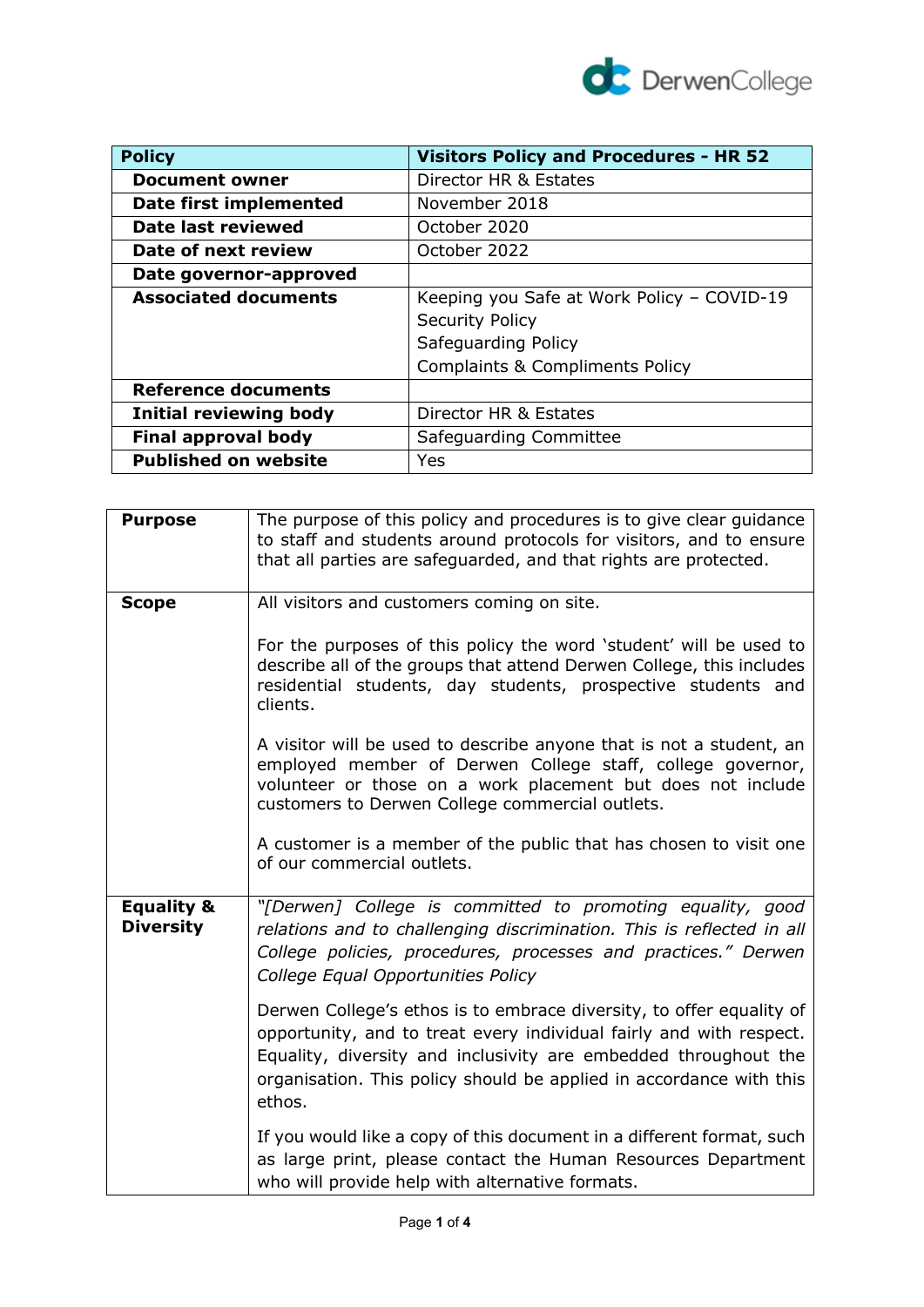

| <b>Policy</b>               | <b>Visitors Policy and Procedures - HR 52</b> |
|-----------------------------|-----------------------------------------------|
| <b>Document owner</b>       | Director HR & Estates                         |
| Date first implemented      | November 2018                                 |
| Date last reviewed          | October 2020                                  |
| Date of next review         | October 2022                                  |
| Date governor-approved      |                                               |
| <b>Associated documents</b> | Keeping you Safe at Work Policy - COVID-19    |
|                             | <b>Security Policy</b>                        |
|                             | Safeguarding Policy                           |
|                             | <b>Complaints &amp; Compliments Policy</b>    |
| <b>Reference documents</b>  |                                               |
| Initial reviewing body      | Director HR & Estates                         |
| <b>Final approval body</b>  | Safeguarding Committee                        |
| <b>Published on website</b> | Yes                                           |

| <b>Purpose</b>                            | The purpose of this policy and procedures is to give clear guidance<br>to staff and students around protocols for visitors, and to ensure<br>that all parties are safeguarded, and that rights are protected.                                                                                   |
|-------------------------------------------|-------------------------------------------------------------------------------------------------------------------------------------------------------------------------------------------------------------------------------------------------------------------------------------------------|
| <b>Scope</b>                              | All visitors and customers coming on site.                                                                                                                                                                                                                                                      |
|                                           | For the purposes of this policy the word 'student' will be used to<br>describe all of the groups that attend Derwen College, this includes<br>residential students, day students, prospective students and<br>clients.                                                                          |
|                                           | A visitor will be used to describe anyone that is not a student, an<br>employed member of Derwen College staff, college governor,<br>volunteer or those on a work placement but does not include<br>customers to Derwen College commercial outlets.                                             |
|                                           | A customer is a member of the public that has chosen to visit one<br>of our commercial outlets.                                                                                                                                                                                                 |
| <b>Equality &amp;</b><br><b>Diversity</b> | "[Derwen] College is committed to promoting equality, good<br>relations and to challenging discrimination. This is reflected in all<br>College policies, procedures, processes and practices." Derwen<br>College Equal Opportunities Policy                                                     |
|                                           | Derwen College's ethos is to embrace diversity, to offer equality of<br>opportunity, and to treat every individual fairly and with respect.<br>Equality, diversity and inclusivity are embedded throughout the<br>organisation. This policy should be applied in accordance with this<br>ethos. |
|                                           | If you would like a copy of this document in a different format, such<br>as large print, please contact the Human Resources Department<br>who will provide help with alternative formats.                                                                                                       |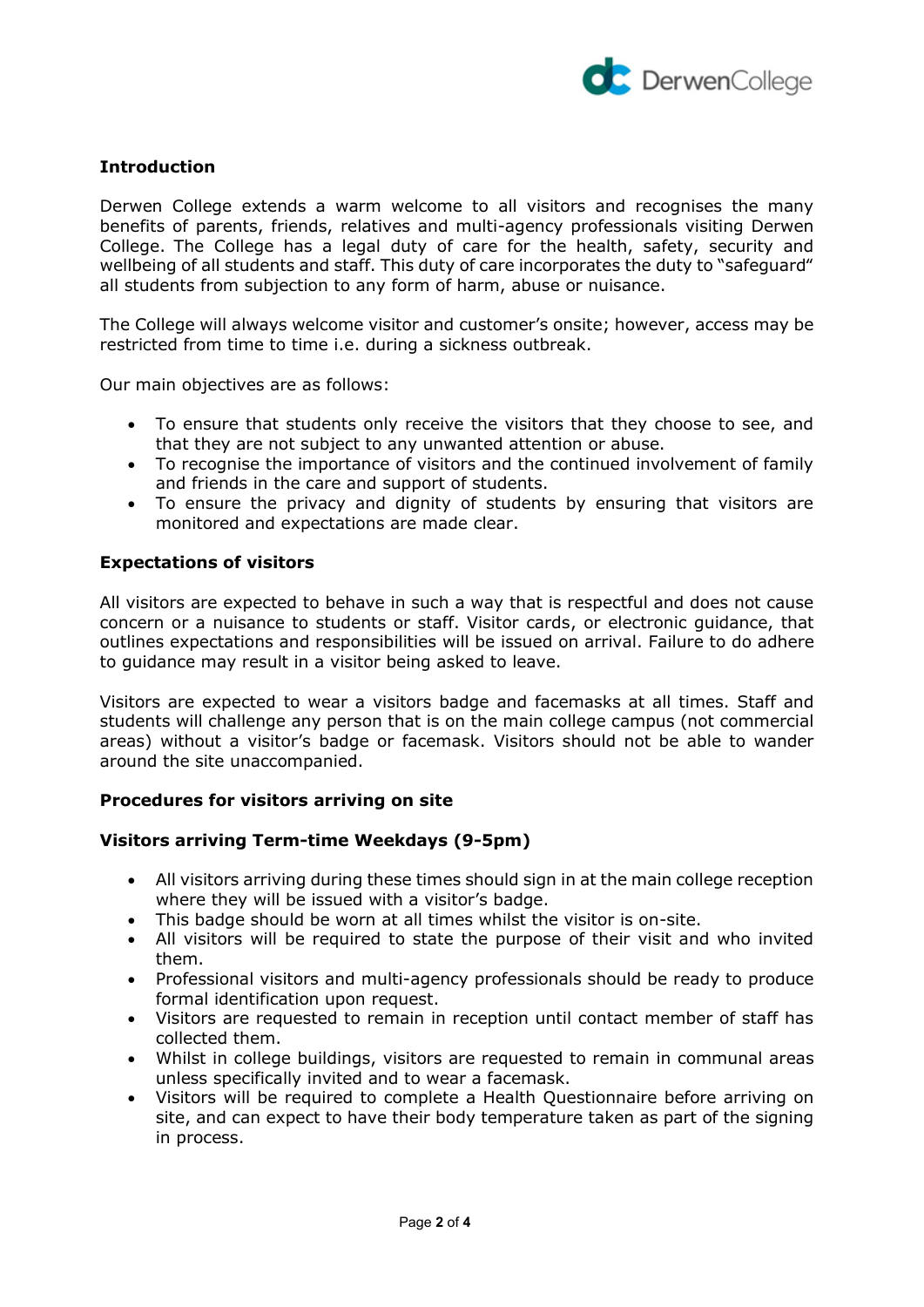

# **Introduction**

Derwen College extends a warm welcome to all visitors and recognises the many benefits of parents, friends, relatives and multi-agency professionals visiting Derwen College. The College has a legal duty of care for the health, safety, security and wellbeing of all students and staff. This duty of care incorporates the duty to "safeguard" all students from subjection to any form of harm, abuse or nuisance.

The College will always welcome visitor and customer's onsite; however, access may be restricted from time to time i.e. during a sickness outbreak.

Our main objectives are as follows:

- To ensure that students only receive the visitors that they choose to see, and that they are not subject to any unwanted attention or abuse.
- To recognise the importance of visitors and the continued involvement of family and friends in the care and support of students.
- To ensure the privacy and dignity of students by ensuring that visitors are monitored and expectations are made clear.

#### **Expectations of visitors**

All visitors are expected to behave in such a way that is respectful and does not cause concern or a nuisance to students or staff. Visitor cards, or electronic guidance, that outlines expectations and responsibilities will be issued on arrival. Failure to do adhere to guidance may result in a visitor being asked to leave.

Visitors are expected to wear a visitors badge and facemasks at all times. Staff and students will challenge any person that is on the main college campus (not commercial areas) without a visitor's badge or facemask. Visitors should not be able to wander around the site unaccompanied.

## **Procedures for visitors arriving on site**

#### **Visitors arriving Term-time Weekdays (9-5pm)**

- All visitors arriving during these times should sign in at the main college reception where they will be issued with a visitor's badge.
- This badge should be worn at all times whilst the visitor is on-site.
- All visitors will be required to state the purpose of their visit and who invited them.
- Professional visitors and multi-agency professionals should be ready to produce formal identification upon request.
- Visitors are requested to remain in reception until contact member of staff has collected them.
- Whilst in college buildings, visitors are requested to remain in communal areas unless specifically invited and to wear a facemask.
- Visitors will be required to complete a Health Questionnaire before arriving on site, and can expect to have their body temperature taken as part of the signing in process.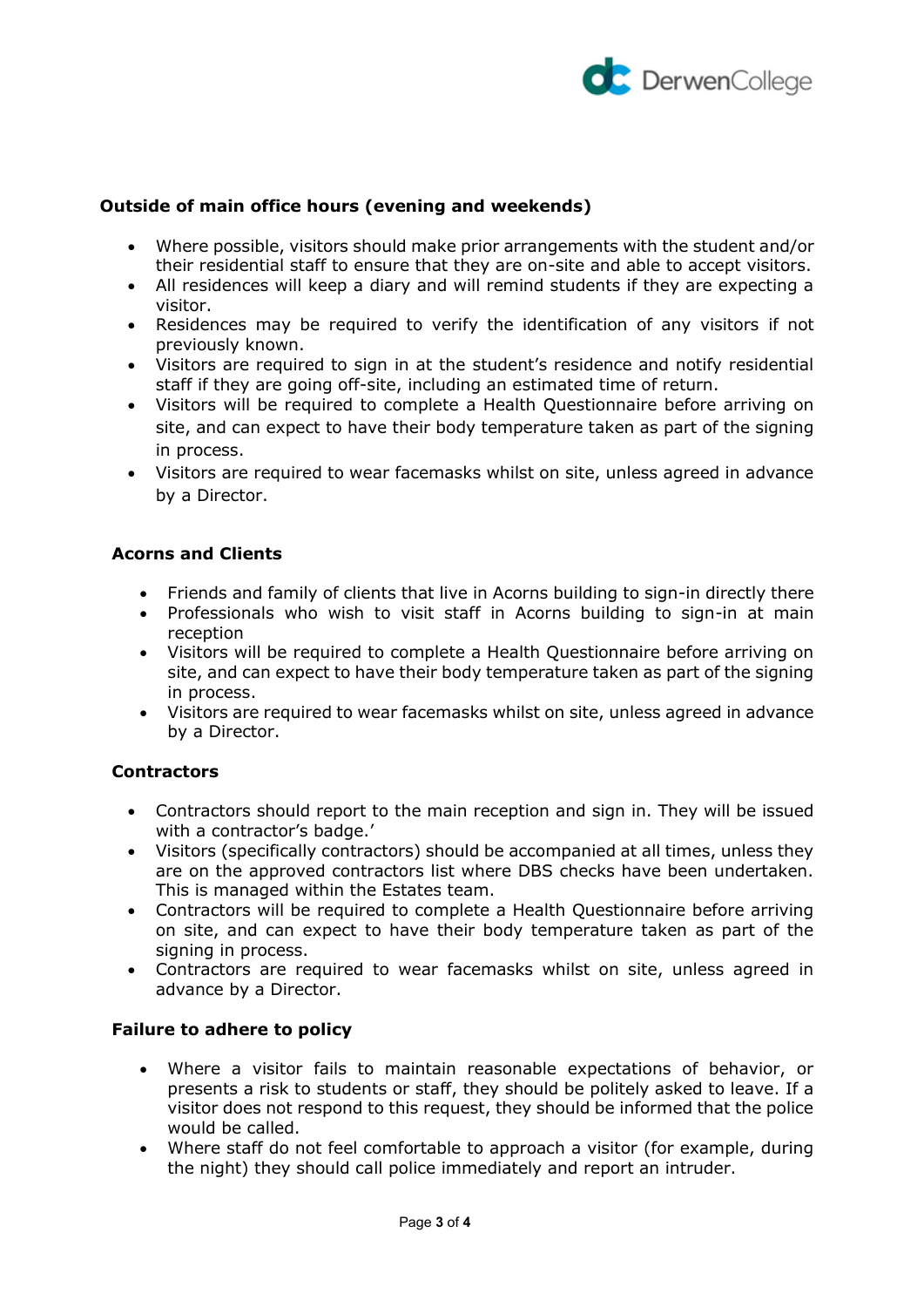

# **Outside of main office hours (evening and weekends)**

- Where possible, visitors should make prior arrangements with the student and/or their residential staff to ensure that they are on-site and able to accept visitors.
- All residences will keep a diary and will remind students if they are expecting a visitor.
- Residences may be required to verify the identification of any visitors if not previously known.
- Visitors are required to sign in at the student's residence and notify residential staff if they are going off-site, including an estimated time of return.
- Visitors will be required to complete a Health Questionnaire before arriving on site, and can expect to have their body temperature taken as part of the signing in process.
- Visitors are required to wear facemasks whilst on site, unless agreed in advance by a Director.

## **Acorns and Clients**

- Friends and family of clients that live in Acorns building to sign-in directly there
- Professionals who wish to visit staff in Acorns building to sign-in at main reception
- Visitors will be required to complete a Health Questionnaire before arriving on site, and can expect to have their body temperature taken as part of the signing in process.
- Visitors are required to wear facemasks whilst on site, unless agreed in advance by a Director.

## **Contractors**

- Contractors should report to the main reception and sign in. They will be issued with a contractor's badge.'
- Visitors (specifically contractors) should be accompanied at all times, unless they are on the approved contractors list where DBS checks have been undertaken. This is managed within the Estates team.
- Contractors will be required to complete a Health Questionnaire before arriving on site, and can expect to have their body temperature taken as part of the signing in process.
- Contractors are required to wear facemasks whilst on site, unless agreed in advance by a Director.

## **Failure to adhere to policy**

- Where a visitor fails to maintain reasonable expectations of behavior, or presents a risk to students or staff, they should be politely asked to leave. If a visitor does not respond to this request, they should be informed that the police would be called.
- Where staff do not feel comfortable to approach a visitor (for example, during the night) they should call police immediately and report an intruder.